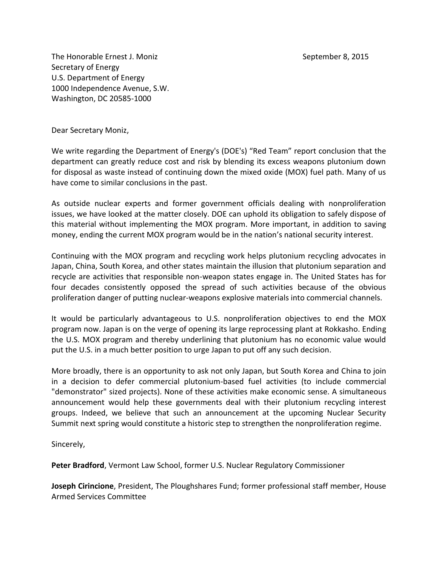The Honorable Ernest J. Moniz September 8, 2015 Secretary of Energy U.S. Department of Energy 1000 Independence Avenue, S.W. Washington, DC 20585-1000

Dear Secretary Moniz,

We write regarding the Department of Energy's (DOE's) "Red Team" report conclusion that the department can greatly reduce cost and risk by blending its excess weapons plutonium down for disposal as waste instead of continuing down the mixed oxide (MOX) fuel path. Many of us have come to similar conclusions in the past.

As outside nuclear experts and former government officials dealing with nonproliferation issues, we have looked at the matter closely. DOE can uphold its obligation to safely dispose of this material without implementing the MOX program. More important, in addition to saving money, ending the current MOX program would be in the nation's national security interest.

Continuing with the MOX program and recycling work helps plutonium recycling advocates in Japan, China, South Korea, and other states maintain the illusion that plutonium separation and recycle are activities that responsible non-weapon states engage in. The United States has for four decades consistently opposed the spread of such activities because of the obvious proliferation danger of putting nuclear-weapons explosive materials into commercial channels.

It would be particularly advantageous to U.S. nonproliferation objectives to end the MOX program now. Japan is on the verge of opening its large reprocessing plant at Rokkasho. Ending the U.S. MOX program and thereby underlining that plutonium has no economic value would put the U.S. in a much better position to urge Japan to put off any such decision.

More broadly, there is an opportunity to ask not only Japan, but South Korea and China to join in a decision to defer commercial plutonium-based fuel activities (to include commercial "demonstrator" sized projects). None of these activities make economic sense. A simultaneous announcement would help these governments deal with their plutonium recycling interest groups. Indeed, we believe that such an announcement at the upcoming Nuclear Security Summit next spring would constitute a historic step to strengthen the nonproliferation regime.

Sincerely,

**Peter Bradford**, Vermont Law School, former U.S. Nuclear Regulatory Commissioner

**Joseph Cirincione**, President, The Ploughshares Fund; former professional staff member, House Armed Services Committee